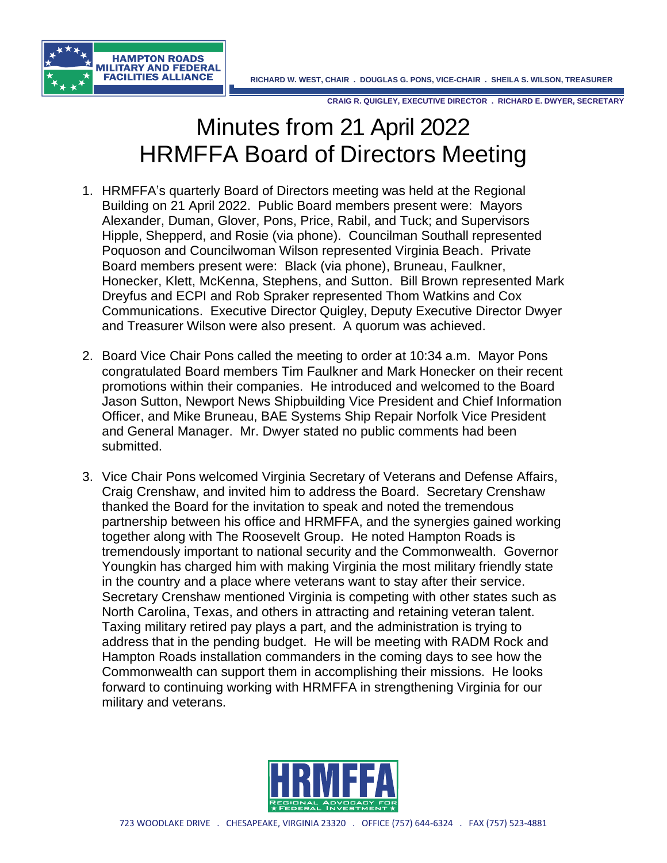



## Minutes from 21 April 2022 HRMFFA Board of Directors Meeting

- 1. HRMFFA's quarterly Board of Directors meeting was held at the Regional Building on 21 April 2022. Public Board members present were: Mayors Alexander, Duman, Glover, Pons, Price, Rabil, and Tuck; and Supervisors Hipple, Shepperd, and Rosie (via phone). Councilman Southall represented Poquoson and Councilwoman Wilson represented Virginia Beach. Private Board members present were: Black (via phone), Bruneau, Faulkner, Honecker, Klett, McKenna, Stephens, and Sutton. Bill Brown represented Mark Dreyfus and ECPI and Rob Spraker represented Thom Watkins and Cox Communications. Executive Director Quigley, Deputy Executive Director Dwyer and Treasurer Wilson were also present. A quorum was achieved.
- 2. Board Vice Chair Pons called the meeting to order at 10:34 a.m. Mayor Pons congratulated Board members Tim Faulkner and Mark Honecker on their recent promotions within their companies. He introduced and welcomed to the Board Jason Sutton, Newport News Shipbuilding Vice President and Chief Information Officer, and Mike Bruneau, BAE Systems Ship Repair Norfolk Vice President and General Manager. Mr. Dwyer stated no public comments had been submitted.
- 3. Vice Chair Pons welcomed Virginia Secretary of Veterans and Defense Affairs, Craig Crenshaw, and invited him to address the Board. Secretary Crenshaw thanked the Board for the invitation to speak and noted the tremendous partnership between his office and HRMFFA, and the synergies gained working together along with The Roosevelt Group. He noted Hampton Roads is tremendously important to national security and the Commonwealth. Governor Youngkin has charged him with making Virginia the most military friendly state in the country and a place where veterans want to stay after their service. Secretary Crenshaw mentioned Virginia is competing with other states such as North Carolina, Texas, and others in attracting and retaining veteran talent. Taxing military retired pay plays a part, and the administration is trying to address that in the pending budget. He will be meeting with RADM Rock and Hampton Roads installation commanders in the coming days to see how the Commonwealth can support them in accomplishing their missions. He looks forward to continuing working with HRMFFA in strengthening Virginia for our military and veterans.

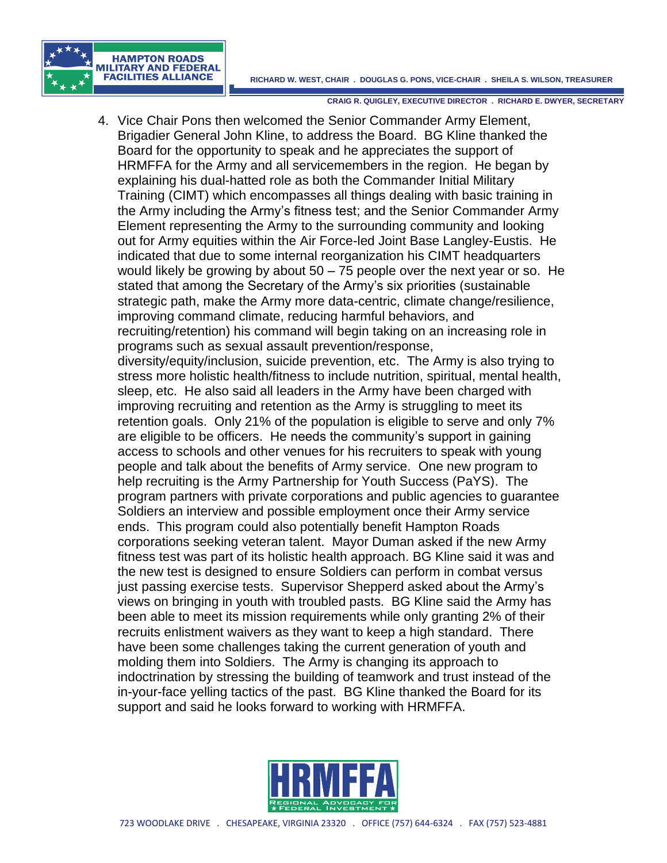

4. Vice Chair Pons then welcomed the Senior Commander Army Element, Brigadier General John Kline, to address the Board. BG Kline thanked the Board for the opportunity to speak and he appreciates the support of HRMFFA for the Army and all servicemembers in the region. He began by explaining his dual-hatted role as both the Commander Initial Military Training (CIMT) which encompasses all things dealing with basic training in the Army including the Army's fitness test; and the Senior Commander Army Element representing the Army to the surrounding community and looking out for Army equities within the Air Force-led Joint Base Langley-Eustis. He indicated that due to some internal reorganization his CIMT headquarters would likely be growing by about  $50 - 75$  people over the next year or so. He stated that among the Secretary of the Army's six priorities (sustainable strategic path, make the Army more data-centric, climate change/resilience, improving command climate, reducing harmful behaviors, and recruiting/retention) his command will begin taking on an increasing role in programs such as sexual assault prevention/response, diversity/equity/inclusion, suicide prevention, etc. The Army is also trying to stress more holistic health/fitness to include nutrition, spiritual, mental health, sleep, etc. He also said all leaders in the Army have been charged with improving recruiting and retention as the Army is struggling to meet its retention goals. Only 21% of the population is eligible to serve and only 7% are eligible to be officers. He needs the community's support in gaining access to schools and other venues for his recruiters to speak with young people and talk about the benefits of Army service. One new program to help recruiting is the Army Partnership for Youth Success (PaYS). The program partners with private corporations and public agencies to guarantee Soldiers an interview and possible employment once their Army service ends. This program could also potentially benefit Hampton Roads corporations seeking veteran talent. Mayor Duman asked if the new Army fitness test was part of its holistic health approach. BG Kline said it was and the new test is designed to ensure Soldiers can perform in combat versus just passing exercise tests. Supervisor Shepperd asked about the Army's views on bringing in youth with troubled pasts. BG Kline said the Army has been able to meet its mission requirements while only granting 2% of their recruits enlistment waivers as they want to keep a high standard. There have been some challenges taking the current generation of youth and molding them into Soldiers. The Army is changing its approach to indoctrination by stressing the building of teamwork and trust instead of the in-your-face yelling tactics of the past. BG Kline thanked the Board for its support and said he looks forward to working with HRMFFA.

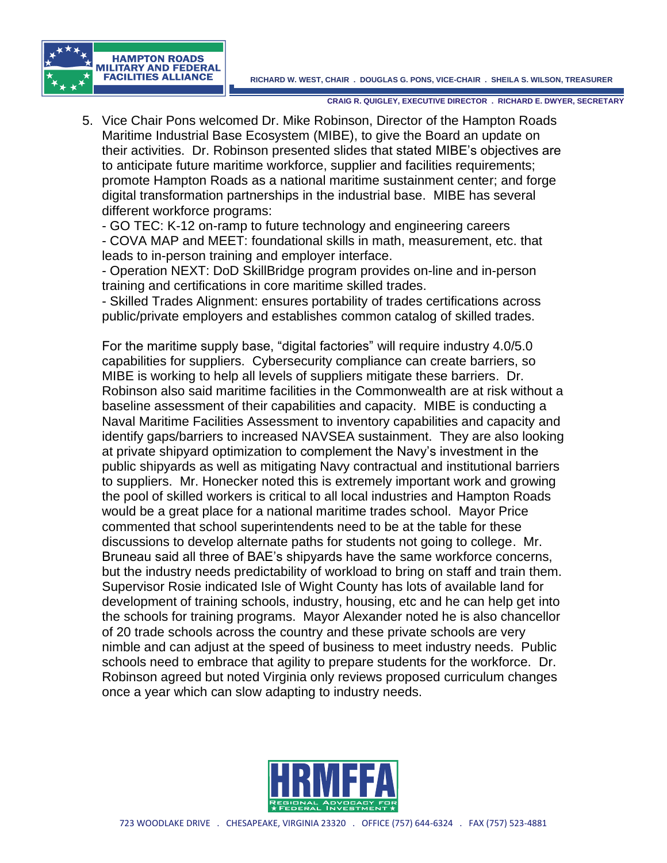

5. Vice Chair Pons welcomed Dr. Mike Robinson, Director of the Hampton Roads Maritime Industrial Base Ecosystem (MIBE), to give the Board an update on their activities. Dr. Robinson presented slides that stated MIBE's objectives are to anticipate future maritime workforce, supplier and facilities requirements; promote Hampton Roads as a national maritime sustainment center; and forge digital transformation partnerships in the industrial base. MIBE has several different workforce programs:

- GO TEC: K-12 on-ramp to future technology and engineering careers

- COVA MAP and MEET: foundational skills in math, measurement, etc. that leads to in-person training and employer interface.

- Operation NEXT: DoD SkillBridge program provides on-line and in-person training and certifications in core maritime skilled trades.

- Skilled Trades Alignment: ensures portability of trades certifications across public/private employers and establishes common catalog of skilled trades.

For the maritime supply base, "digital factories" will require industry 4.0/5.0 capabilities for suppliers. Cybersecurity compliance can create barriers, so MIBE is working to help all levels of suppliers mitigate these barriers. Dr. Robinson also said maritime facilities in the Commonwealth are at risk without a baseline assessment of their capabilities and capacity. MIBE is conducting a Naval Maritime Facilities Assessment to inventory capabilities and capacity and identify gaps/barriers to increased NAVSEA sustainment. They are also looking at private shipyard optimization to complement the Navy's investment in the public shipyards as well as mitigating Navy contractual and institutional barriers to suppliers. Mr. Honecker noted this is extremely important work and growing the pool of skilled workers is critical to all local industries and Hampton Roads would be a great place for a national maritime trades school. Mayor Price commented that school superintendents need to be at the table for these discussions to develop alternate paths for students not going to college. Mr. Bruneau said all three of BAE's shipyards have the same workforce concerns, but the industry needs predictability of workload to bring on staff and train them. Supervisor Rosie indicated Isle of Wight County has lots of available land for development of training schools, industry, housing, etc and he can help get into the schools for training programs. Mayor Alexander noted he is also chancellor of 20 trade schools across the country and these private schools are very nimble and can adjust at the speed of business to meet industry needs. Public schools need to embrace that agility to prepare students for the workforce. Dr. Robinson agreed but noted Virginia only reviews proposed curriculum changes once a year which can slow adapting to industry needs.

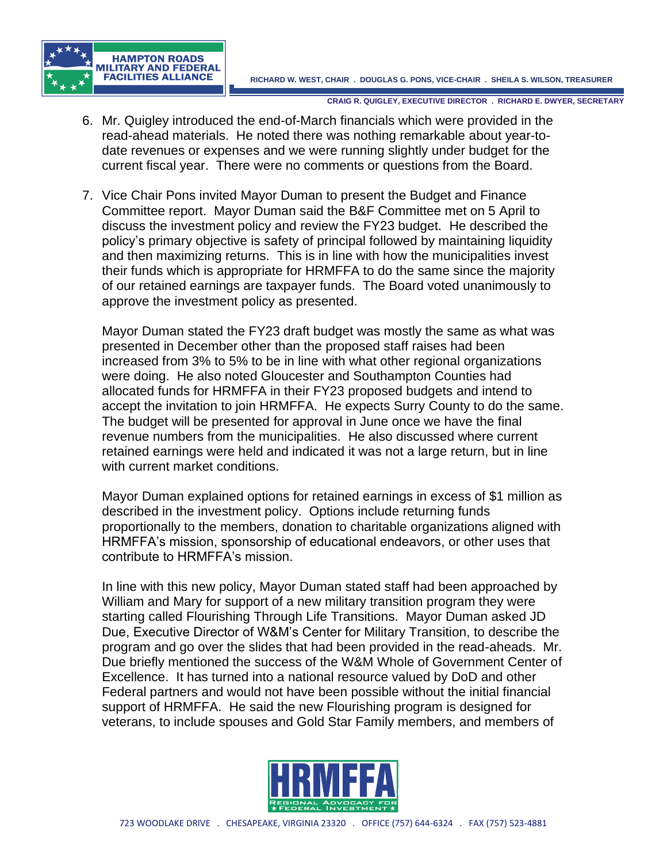



- 6. Mr. Quigley introduced the end-of-March financials which were provided in the read-ahead materials. He noted there was nothing remarkable about year-todate revenues or expenses and we were running slightly under budget for the current fiscal year. There were no comments or questions from the Board.
- 7. Vice Chair Pons invited Mayor Duman to present the Budget and Finance Committee report. Mayor Duman said the B&F Committee met on 5 April to discuss the investment policy and review the FY23 budget. He described the policy's primary objective is safety of principal followed by maintaining liquidity and then maximizing returns. This is in line with how the municipalities invest their funds which is appropriate for HRMFFA to do the same since the majority of our retained earnings are taxpayer funds. The Board voted unanimously to approve the investment policy as presented.

Mayor Duman stated the FY23 draft budget was mostly the same as what was presented in December other than the proposed staff raises had been increased from 3% to 5% to be in line with what other regional organizations were doing. He also noted Gloucester and Southampton Counties had allocated funds for HRMFFA in their FY23 proposed budgets and intend to accept the invitation to join HRMFFA. He expects Surry County to do the same. The budget will be presented for approval in June once we have the final revenue numbers from the municipalities. He also discussed where current retained earnings were held and indicated it was not a large return, but in line with current market conditions.

Mayor Duman explained options for retained earnings in excess of \$1 million as described in the investment policy. Options include returning funds proportionally to the members, donation to charitable organizations aligned with HRMFFA's mission, sponsorship of educational endeavors, or other uses that contribute to HRMFFA's mission.

In line with this new policy, Mayor Duman stated staff had been approached by William and Mary for support of a new military transition program they were starting called Flourishing Through Life Transitions. Mayor Duman asked JD Due, Executive Director of W&M's Center for Military Transition, to describe the program and go over the slides that had been provided in the read-aheads. Mr. Due briefly mentioned the success of the W&M Whole of Government Center of Excellence. It has turned into a national resource valued by DoD and other Federal partners and would not have been possible without the initial financial support of HRMFFA. He said the new Flourishing program is designed for veterans, to include spouses and Gold Star Family members, and members of

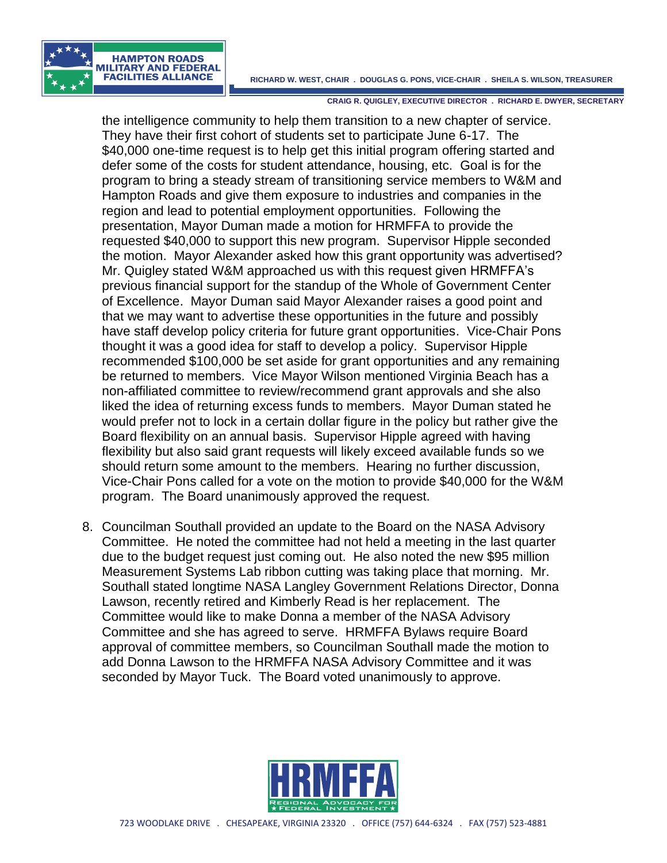



the intelligence community to help them transition to a new chapter of service. They have their first cohort of students set to participate June 6-17. The \$40,000 one-time request is to help get this initial program offering started and defer some of the costs for student attendance, housing, etc. Goal is for the program to bring a steady stream of transitioning service members to W&M and Hampton Roads and give them exposure to industries and companies in the region and lead to potential employment opportunities. Following the presentation, Mayor Duman made a motion for HRMFFA to provide the requested \$40,000 to support this new program. Supervisor Hipple seconded the motion. Mayor Alexander asked how this grant opportunity was advertised? Mr. Quigley stated W&M approached us with this request given HRMFFA's previous financial support for the standup of the Whole of Government Center of Excellence. Mayor Duman said Mayor Alexander raises a good point and that we may want to advertise these opportunities in the future and possibly have staff develop policy criteria for future grant opportunities. Vice-Chair Pons thought it was a good idea for staff to develop a policy. Supervisor Hipple recommended \$100,000 be set aside for grant opportunities and any remaining be returned to members. Vice Mayor Wilson mentioned Virginia Beach has a non-affiliated committee to review/recommend grant approvals and she also liked the idea of returning excess funds to members. Mayor Duman stated he would prefer not to lock in a certain dollar figure in the policy but rather give the Board flexibility on an annual basis. Supervisor Hipple agreed with having flexibility but also said grant requests will likely exceed available funds so we should return some amount to the members. Hearing no further discussion, Vice-Chair Pons called for a vote on the motion to provide \$40,000 for the W&M program. The Board unanimously approved the request.

8. Councilman Southall provided an update to the Board on the NASA Advisory Committee. He noted the committee had not held a meeting in the last quarter due to the budget request just coming out. He also noted the new \$95 million Measurement Systems Lab ribbon cutting was taking place that morning. Mr. Southall stated longtime NASA Langley Government Relations Director, Donna Lawson, recently retired and Kimberly Read is her replacement. The Committee would like to make Donna a member of the NASA Advisory Committee and she has agreed to serve. HRMFFA Bylaws require Board approval of committee members, so Councilman Southall made the motion to add Donna Lawson to the HRMFFA NASA Advisory Committee and it was seconded by Mayor Tuck. The Board voted unanimously to approve.

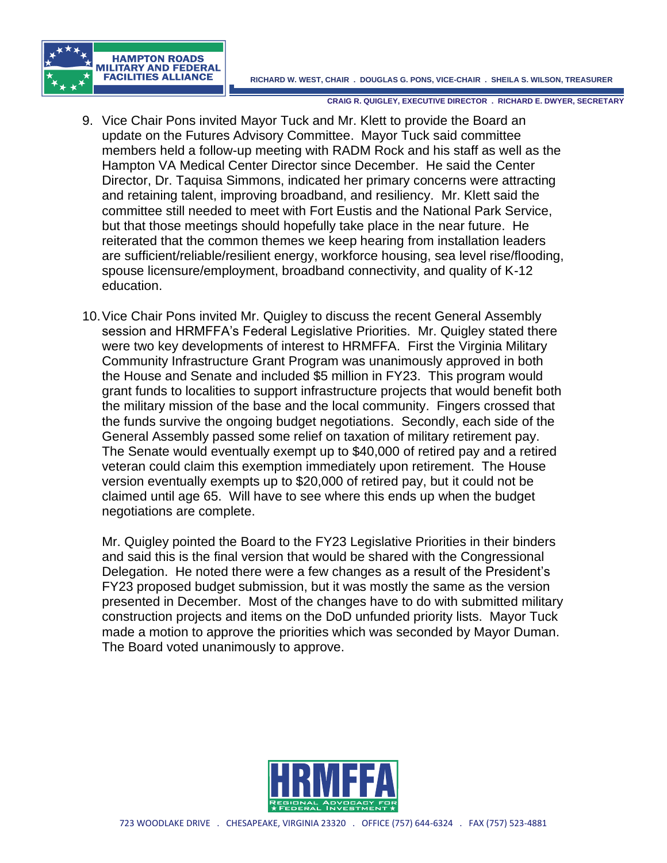

- 9. Vice Chair Pons invited Mayor Tuck and Mr. Klett to provide the Board an update on the Futures Advisory Committee. Mayor Tuck said committee members held a follow-up meeting with RADM Rock and his staff as well as the Hampton VA Medical Center Director since December. He said the Center Director, Dr. Taquisa Simmons, indicated her primary concerns were attracting and retaining talent, improving broadband, and resiliency. Mr. Klett said the committee still needed to meet with Fort Eustis and the National Park Service, but that those meetings should hopefully take place in the near future. He reiterated that the common themes we keep hearing from installation leaders are sufficient/reliable/resilient energy, workforce housing, sea level rise/flooding, spouse licensure/employment, broadband connectivity, and quality of K-12 education.
- 10.Vice Chair Pons invited Mr. Quigley to discuss the recent General Assembly session and HRMFFA's Federal Legislative Priorities. Mr. Quigley stated there were two key developments of interest to HRMFFA. First the Virginia Military Community Infrastructure Grant Program was unanimously approved in both the House and Senate and included \$5 million in FY23. This program would grant funds to localities to support infrastructure projects that would benefit both the military mission of the base and the local community. Fingers crossed that the funds survive the ongoing budget negotiations. Secondly, each side of the General Assembly passed some relief on taxation of military retirement pay. The Senate would eventually exempt up to \$40,000 of retired pay and a retired veteran could claim this exemption immediately upon retirement. The House version eventually exempts up to \$20,000 of retired pay, but it could not be claimed until age 65. Will have to see where this ends up when the budget negotiations are complete.

Mr. Quigley pointed the Board to the FY23 Legislative Priorities in their binders and said this is the final version that would be shared with the Congressional Delegation. He noted there were a few changes as a result of the President's FY23 proposed budget submission, but it was mostly the same as the version presented in December. Most of the changes have to do with submitted military construction projects and items on the DoD unfunded priority lists. Mayor Tuck made a motion to approve the priorities which was seconded by Mayor Duman. The Board voted unanimously to approve.

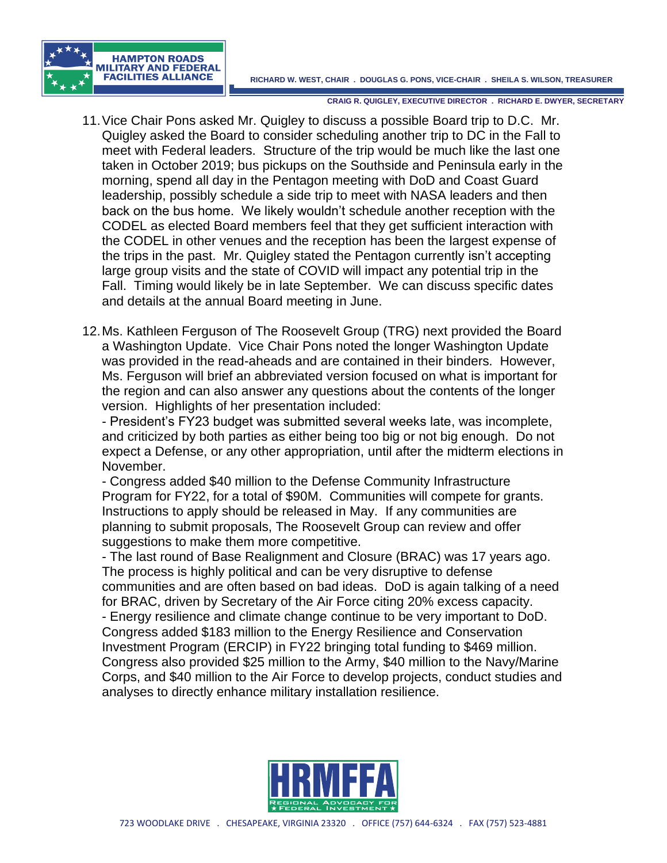**RICHARD W. WEST, CHAIR . DOUGLAS G. PONS, VICE-CHAIR . SHEILA S. WILSON, TREASURER**



**CRAIG R. QUIGLEY, EXECUTIVE DIRECTOR . RICHARD E. DWYER, SECRETARY**

- 11.Vice Chair Pons asked Mr. Quigley to discuss a possible Board trip to D.C. Mr. Quigley asked the Board to consider scheduling another trip to DC in the Fall to meet with Federal leaders. Structure of the trip would be much like the last one taken in October 2019; bus pickups on the Southside and Peninsula early in the morning, spend all day in the Pentagon meeting with DoD and Coast Guard leadership, possibly schedule a side trip to meet with NASA leaders and then back on the bus home. We likely wouldn't schedule another reception with the CODEL as elected Board members feel that they get sufficient interaction with the CODEL in other venues and the reception has been the largest expense of the trips in the past. Mr. Quigley stated the Pentagon currently isn't accepting large group visits and the state of COVID will impact any potential trip in the Fall. Timing would likely be in late September. We can discuss specific dates and details at the annual Board meeting in June.
- 12.Ms. Kathleen Ferguson of The Roosevelt Group (TRG) next provided the Board a Washington Update. Vice Chair Pons noted the longer Washington Update was provided in the read-aheads and are contained in their binders. However, Ms. Ferguson will brief an abbreviated version focused on what is important for the region and can also answer any questions about the contents of the longer version. Highlights of her presentation included:

- President's FY23 budget was submitted several weeks late, was incomplete, and criticized by both parties as either being too big or not big enough. Do not expect a Defense, or any other appropriation, until after the midterm elections in November.

- Congress added \$40 million to the Defense Community Infrastructure Program for FY22, for a total of \$90M. Communities will compete for grants. Instructions to apply should be released in May. If any communities are planning to submit proposals, The Roosevelt Group can review and offer suggestions to make them more competitive.

- The last round of Base Realignment and Closure (BRAC) was 17 years ago. The process is highly political and can be very disruptive to defense communities and are often based on bad ideas. DoD is again talking of a need for BRAC, driven by Secretary of the Air Force citing 20% excess capacity. - Energy resilience and climate change continue to be very important to DoD. Congress added \$183 million to the Energy Resilience and Conservation Investment Program (ERCIP) in FY22 bringing total funding to \$469 million. Congress also provided \$25 million to the Army, \$40 million to the Navy/Marine Corps, and \$40 million to the Air Force to develop projects, conduct studies and analyses to directly enhance military installation resilience.